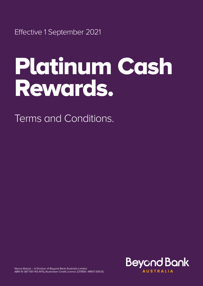Effective 1 September 2021

# Platinum Cash Rewards.

Terms and Conditions.



Nexus Mutual – A Division of Beyond Bank Australia Limited ABN 15 087 651 143 AFSL/Australian Credit Licence 237856 | MR07 (09/21)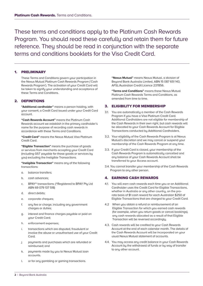These terms and conditions apply to the Platinum Cash Rewards Program. You should read these carefully and retain them for future reference. They should be read in conjunction with the separate terms and conditions booklets for the Visa Credit Card.

# 1. PRELIMINARY

 These Terms and Conditions govern your participation in the Nexus Mutual Platinum Cash Rewards Program ('Cash Rewards Program'). The activation of your Credit Card will be taken to signify your understanding and acceptance of these Terms and Conditions.

# 2. DEFINITIONS

 **"Additional cardholder"** means a person holding, with your consent, a Credit Card issued under your Credit Card account.

**"Cash Rewards Account"** means the Platinum Cash Rewards account we establish in the primary cardholder's name for the purpose of recording cash rewards in accordance with these Terms and Conditions.

 **"Credit Card"** means the Nexus Mutual Visa Platinum Credit Card.

 **"Eligible Transaction"** means the purchase of goods or services from merchants accepting your Credit Card (including GST payable for those goods or services by you) excluding the Ineligible Transactions.

 **"Ineligible Transaction"** means any of the following transactions:

- a. balance transfers;
- b. cash advances;
- c. BPAY® transactions; (®Registered to BPAY Pty Ltd ABN 69 079 137 518)
- d. direct debits;
- e. corporate cheques;
- f. any fee or charge, including any government charges or duties;
- g. interest and finance charges payable or paid on your Credit Card;
- h. enforcement expenses;
- i. transactions which are disputed, fraudulent or involve the abuse or unauthorised use of your Credit Card;
- j. payments and purchases which are refunded or reimbursed; and
- k. payments made by you to Nexus Mutual loan accounts.
- l. or for any gambling or gaming transactions.

 **"Nexus Mutual"** means Nexus Mutual, a division of Beyond Bank Australia Limited, ABN 15 087 651 143, AFSL/Australian Credit Licence 237856.

 **"Terms and Conditions"** means these Nexus Mutual Platinum Cash Rewards Terms and Conditions, as amended from time to time.

### 3. ELIGIBILITY FOR MEMBERSHIP

- 3.1. You are automatically a member of the Cash Rewards Program if you have a Visa Platinum Credit Card. Additional Cardholders are not eligible for membership of the Cash Rewards in their own right, but cash rewards will be allocated to your Cash Rewards Account for Eligible Transactions conducted by Additional Cardholders.
- 3.2. Your eligibility of the Cash Rewards Program is at Nexus Mutual's discretion and we may cancel or suspend your membership of the Cash Rewards Program at any time.
- 3.3. If your Credit Card is closed, your membership of the Cash Rewards Program is automatically cancelled and any balance of your Cash Rewards Account shall be transferred to your Access account.
- 3.4. You cannot transfer your membership of the Cash Rewards Program to any other person.

## 4. EARNING CASH REWARDS

- 4.1. You will earn cash rewards each time you or an Additional Cardholder uses the Credit Card for Eligible Transactions, whether in Australia or any other country, on the prorata basis of \$1 cash reward for each Australian \$250 of Eligible Transactions that are charged to your Credit Card.
- 4.2 When you obtain a refund or reimbursement of an Eligible Transaction for which you earned cash rewards (for example, when you return goods or cancel bookings), any cash rewards allocated as a result of that Eligible Transaction will be reversed accordingly.
- 4.3. Cash rewards will be credited to your Cash Rewards Account at the end of each calendar month. The details of the Cash Rewards Account will be incorporated on your usual Nexus Mutual statement of accounts.
- 4.4. You may access any credit balance in your Cash Rewards Account by the withdrawal of funds or by way of transfer to any other account.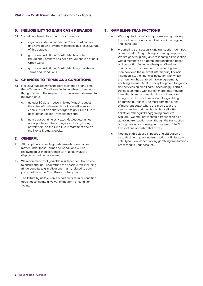# 5. INELIGIBILITY TO EARN CASH REWARDS

- 5.1. You will not be eligible to earn cash rewards:
	- a. if you are in default under the Credit Card contract and have been provided with notice by Nexus Mutual of this default;
	- b. you or any Additional Cardholder has acted fraudulently or there has been fraudulent use of your Credit Card;
	- c. you or any Additional Cardholder breaches these Terms and Conditions.

## 6. CHANGES TO TERMS AND CONDITIONS

- 6.1. Nexus Mutual reserves the right to change at any time these Terms and Conditions (including the cash rewards that you earn or the way in which you earn cash rewards) by giving you:
	- a. at least 30 days' notice if Nexus Mutual reduces the value of cash rewards that you will earn for each Australian dollar charged to your Credit Card account for Eligible Transactions; and
	- b notice at such time as Nexus Mutual determines appropriate for other changes, including through newsletters, on the Credit Card statement and on the Nexus Mutual website.

### 7. GENERAL

- 7.1. All complaints regarding cash rewards or any other matter under these Terms and Conditions will be resolved by us in accordance with Nexus Mutual's dispute resolution processes.
- 7.2. We recommend that you obtain independent tax advice to ensure that you understand the possible tax (including fringe benefits tax) implications, if any, related to your participation in the Cash Rewards Program.
- 7.3. The failure by us to enforce a particular term or condition does not constitute a waiver of that term or condition bu us.

# 8. GAMBLING TRANSACTIONS

- a. We may block or refuse to process any gambling transaction on your account without incurring any liabilitu to you.
- b. A gambling transaction is any transaction identified by us as being for gambling or gaming purposes. We are generally only able to identify a transaction with a merchant as a gambling transaction based on information (including the type of business conducted by the merchant) provided by the merchant and the relevant intermediary financial institution (i.e. the financial institution with which the merchant has entered into an agreement, enabling the merchant to accept payment for goods and services by credit card). Accordingly, certain transaction made with certain merchants may be identified by us as gambling transactions, even though such transactions are not for gambling or gaming purposes. The most common types of merchant outlet where this may occur are newsagencies and merchants that sell lottery tickets or other gambling/gaming products. Similarly, we may not identify a transaction as a gambling transaction even though the transaction is for gambling or gaming purposes (e.g. BPAY® transactions or cash withdrawals).
- c. Nothing in this clause imposes any obligation on us to decline a gambling transaction or limits your liability to us in respect of any gambling transactions processed to your account.